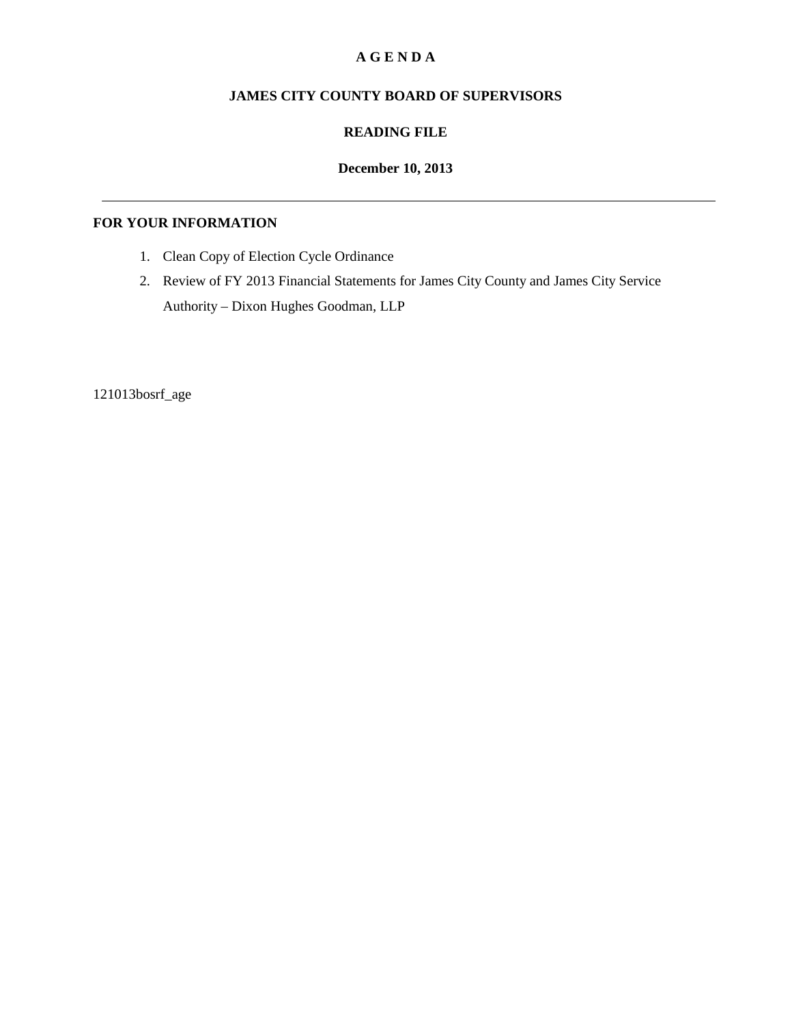## **A G E N D A**

# **JAMES CITY COUNTY BOARD OF SUPERVISORS**

## **READING FILE**

## **December 10, 2013**

## **FOR YOUR INFORMATION**

- 1. Clean Copy of Election Cycle Ordinance
- 2. Review of FY 2013 Financial Statements for James City County and James City Service Authority – Dixon Hughes Goodman, LLP

121013bosrf\_age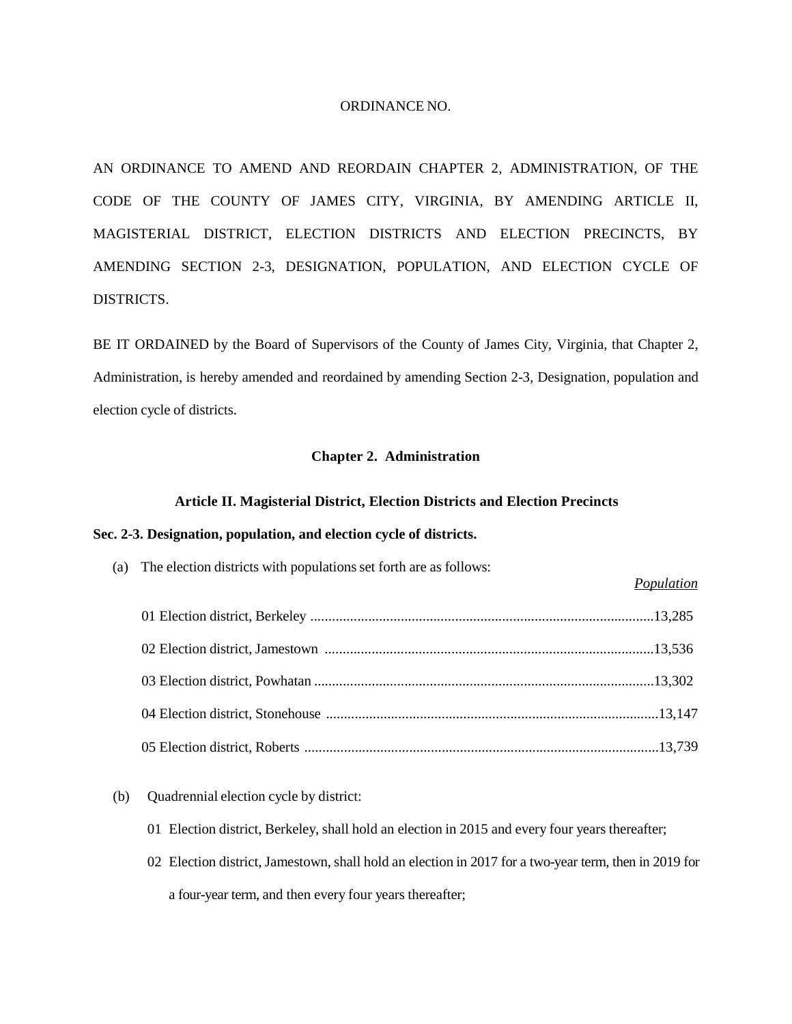### ORDINANCE NO.

AN ORDINANCE TO AMEND AND REORDAIN CHAPTER 2, ADMINISTRATION, OF THE CODE OF THE COUNTY OF JAMES CITY, VIRGINIA, BY AMENDING ARTICLE II, MAGISTERIAL DISTRICT, ELECTION DISTRICTS AND ELECTION PRECINCTS, BY AMENDING SECTION 2-3, DESIGNATION, POPULATION, AND ELECTION CYCLE OF DISTRICTS.

BE IT ORDAINED by the Board of Supervisors of the County of James City, Virginia, that Chapter 2, Administration, is hereby amended and reordained by amending Section 2-3, Designation, population and election cycle of districts.

### **Chapter 2. Administration**

#### **Article II. Magisterial District, Election Districts and Election Precincts**

### **Sec. 2-3. Designation, population, and election cycle of districts.**

| (a) The election districts with populations set forth are as follows: | Population |
|-----------------------------------------------------------------------|------------|
|                                                                       |            |
|                                                                       |            |
|                                                                       |            |
|                                                                       |            |
|                                                                       |            |

## (b) Quadrennial election cycle by district:

- 01 Election district, Berkeley, shall hold an election in 2015 and every four years thereafter;
- 02 Election district, Jamestown, shall hold an election in 2017 for a two-year term, then in 2019 for a four-year term, and then every four years thereafter;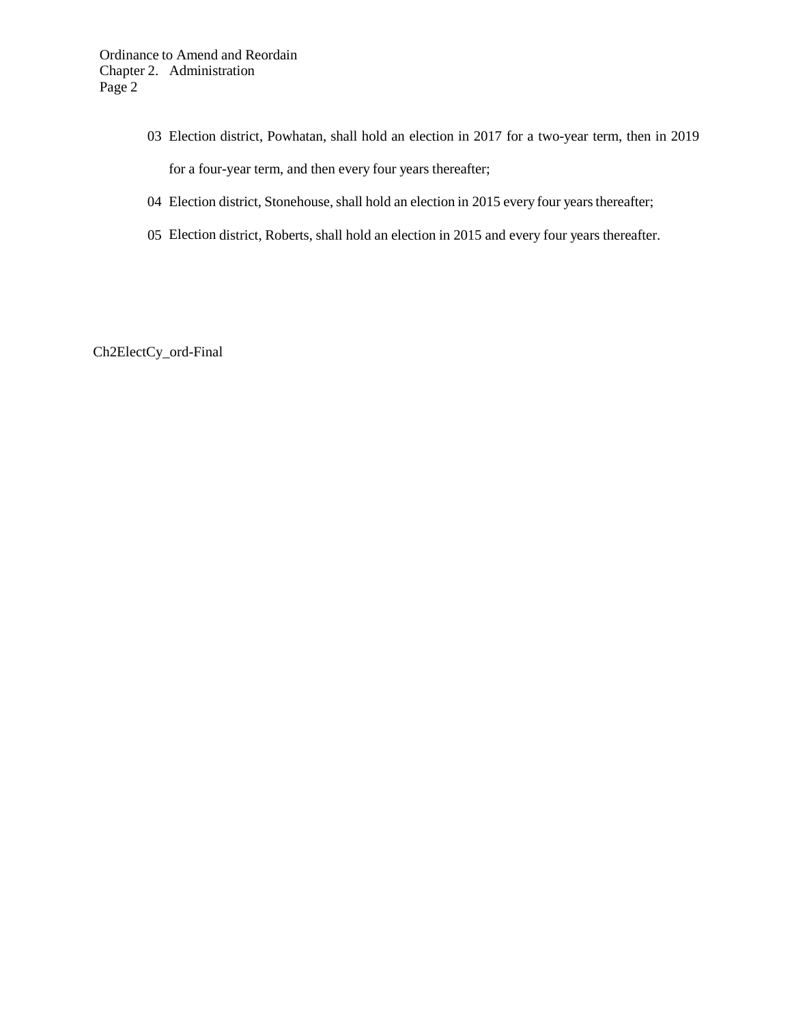- 03 Election district, Powhatan, shall hold an election in 2017 for a two-year term, then in 2019 for a four-year term, and then every four years thereafter;
- 04 Election district, Stonehouse, shall hold an election in 2015 every four years thereafter;
- 05 Election district, Roberts, shall hold an election in 2015 and every four years thereafter.

Ch2ElectCy\_ord-Final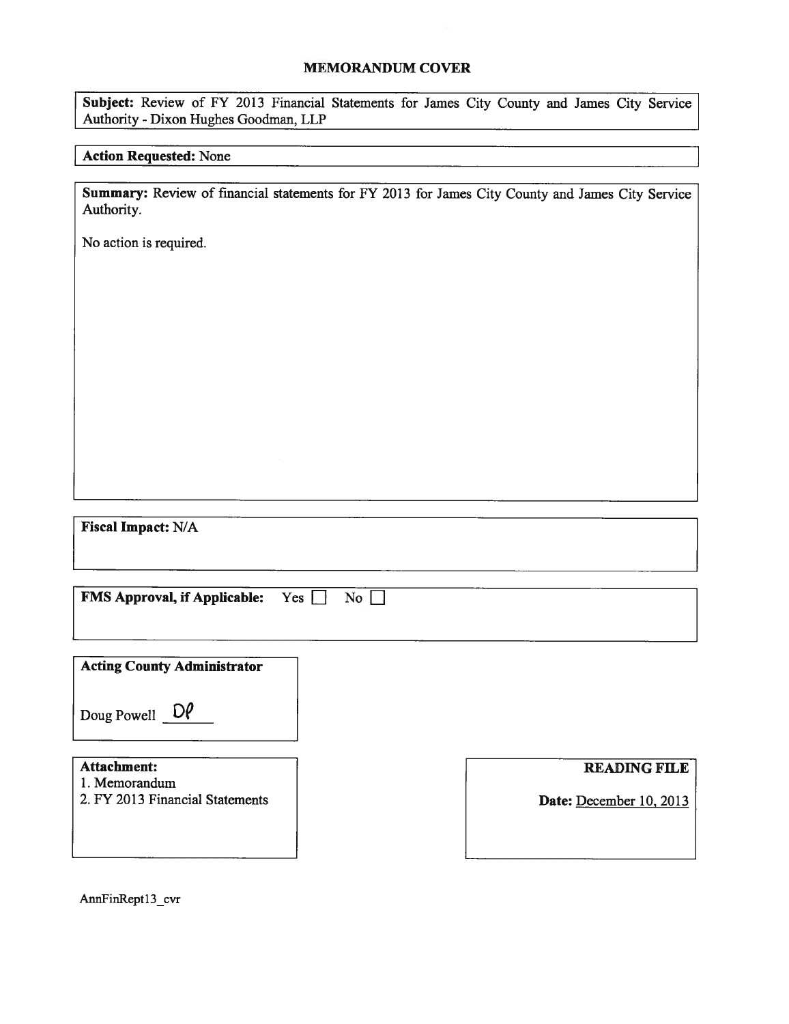### MEMORANDUM COVER

Subject: Review of FY 2013 Financial Statements for James City County and James City Service Authority -Dixon Hughes Goodman, LLP

## Action Requested: None

Summary: Review of financial statements for FY 2013 for James City County and James City Service Authority.

No action is required.

Fiscal Impact: N/A

| <b>FMS Approval, if Applicable:</b><br>No<br>Yes                       |  |                                                |  |  |
|------------------------------------------------------------------------|--|------------------------------------------------|--|--|
| <b>Acting County Administrator</b>                                     |  |                                                |  |  |
| Doug Powell $\mathsf{D}\mathsf{P}$                                     |  |                                                |  |  |
| <b>Attachment:</b><br>1. Memorandum<br>2. FY 2013 Financial Statements |  | <b>READING FILE</b><br>Date: December 10, 2013 |  |  |
|                                                                        |  |                                                |  |  |

AnnFinRept13\_cvr